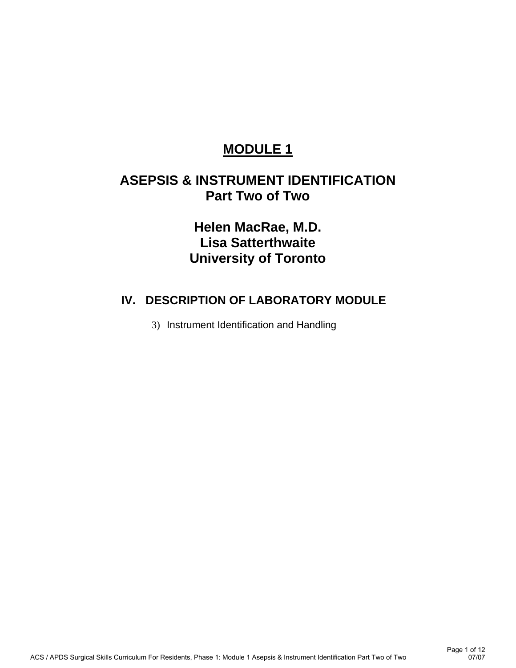# **MODULE 1**

## **ASEPSIS & INSTRUMENT IDENTIFICATION Part Two of Two**

**Helen MacRae, M.D. Lisa Satterthwaite University of Toronto** 

## **IV. DESCRIPTION OF LABORATORY MODULE**

3) Instrument Identification and Handling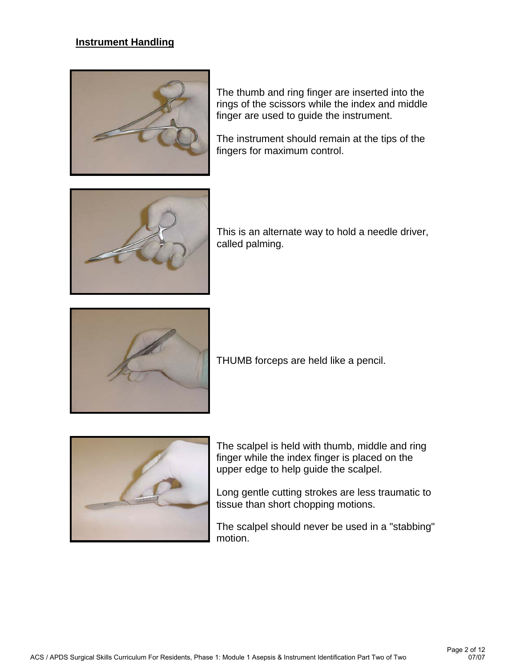## **Instrument Handling**



The thumb and ring finger are inserted into the rings of the scissors while the index and middle finger are used to guide the instrument.

The instrument should remain at the tips of the fingers for maximum control.



This is an alternate way to hold a needle driver, called palming.



THUMB forceps are held like a pencil.



The scalpel is held with thumb, middle and ring finger while the index finger is placed on the upper edge to help guide the scalpel.

Long gentle cutting strokes are less traumatic to tissue than short chopping motions.

The scalpel should never be used in a "stabbing" motion.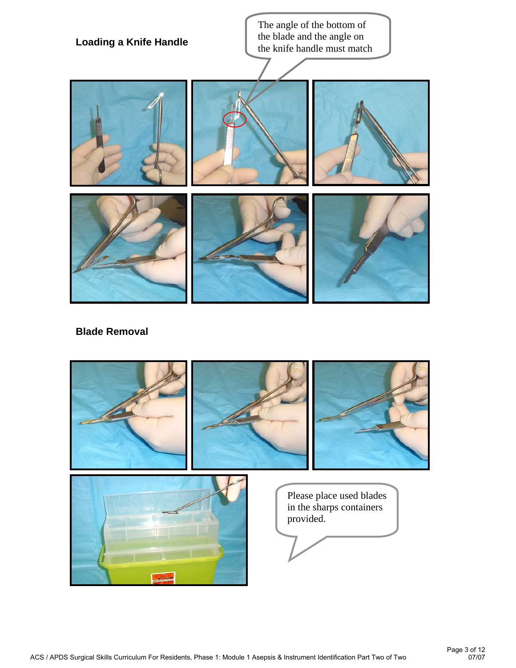

#### **Blade Removal**

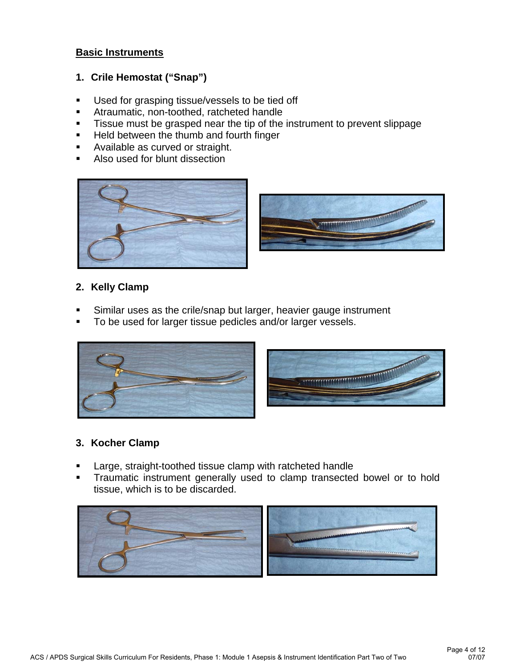#### **Basic Instruments**

#### **1. Crile Hemostat ("Snap")**

- **Used for grasping tissue/vessels to be tied off**
- **Atraumatic, non-toothed, ratcheted handle**
- **Tissue must be grasped near the tip of the instrument to prevent slippage**
- **Held between the thumb and fourth finger**
- **Available as curved or straight.**
- Also used for blunt dissection





#### **2. Kelly Clamp**

- Similar uses as the crile/snap but larger, heavier gauge instrument
- To be used for larger tissue pedicles and/or larger vessels.



## **3. Kocher Clamp**

- Large, straight-toothed tissue clamp with ratcheted handle
- **Traumatic instrument generally used to clamp transected bowel or to hold** tissue, which is to be discarded.

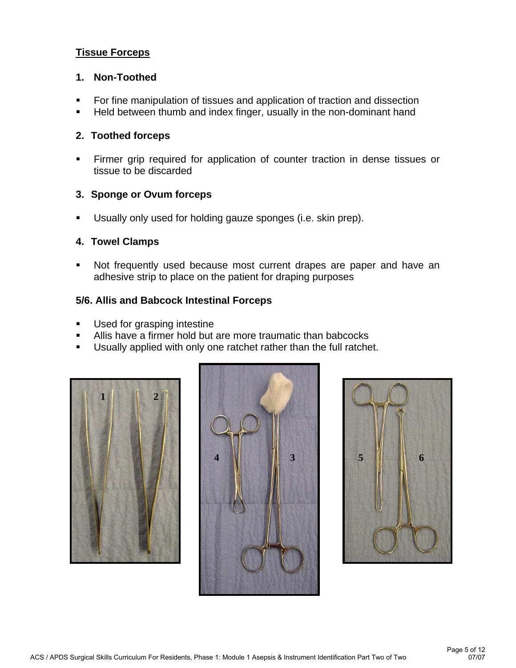## **Tissue Forceps**

#### **1. Non-Toothed**

- For fine manipulation of tissues and application of traction and dissection
- **Held between thumb and index finger, usually in the non-dominant hand**

#### **2. Toothed forceps**

 Firmer grip required for application of counter traction in dense tissues or tissue to be discarded

#### **3. Sponge or Ovum forceps**

Usually only used for holding gauze sponges (i.e. skin prep).

#### **4. Towel Clamps**

 Not frequently used because most current drapes are paper and have an adhesive strip to place on the patient for draping purposes

#### **5/6. Allis and Babcock Intestinal Forceps**

- Used for grasping intestine
- Allis have a firmer hold but are more traumatic than babcocks
- **Usually applied with only one ratchet rather than the full ratchet.**





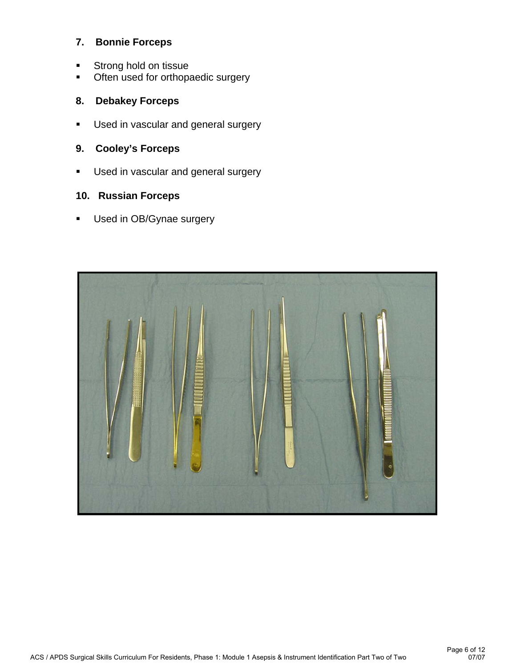## **7. Bonnie Forceps**

- **Strong hold on tissue**
- **•** Often used for orthopaedic surgery

## **8. Debakey Forceps**

- **Used in vascular and general surgery**
- **9. Cooley's Forceps**
- **Used in vascular and general surgery**

## **10. Russian Forceps**

**Used in OB/Gynae surgery** 

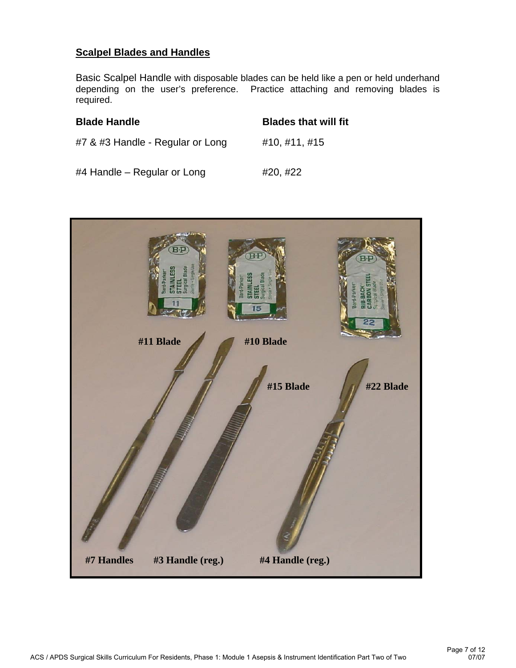## **Scalpel Blades and Handles**

Basic Scalpel Handle with disposable blades can be held like a pen or held underhand depending on the user's preference. Practice attaching and removing blades is required.

| <b>Blade Handle</b>              | <b>Blades that will fit</b> |
|----------------------------------|-----------------------------|
| #7 & #3 Handle - Regular or Long | #10, #11, #15               |
| #4 Handle $-$ Regular or Long    | #20, #22                    |

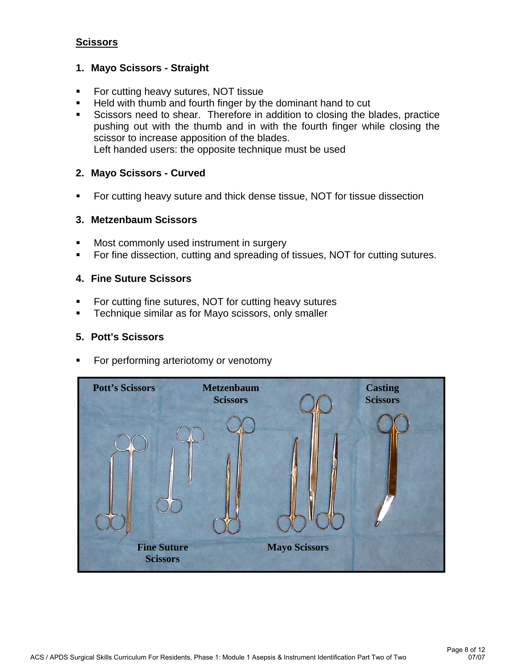## **Scissors**

#### **1. Mayo Scissors - Straight**

- For cutting heavy sutures, NOT tissue
- Held with thumb and fourth finger by the dominant hand to cut
- Scissors need to shear. Therefore in addition to closing the blades, practice pushing out with the thumb and in with the fourth finger while closing the scissor to increase apposition of the blades.

Left handed users: the opposite technique must be used

#### **2. Mayo Scissors - Curved**

**For cutting heavy suture and thick dense tissue, NOT for tissue dissection** 

#### **3. Metzenbaum Scissors**

- Most commonly used instrument in surgery
- For fine dissection, cutting and spreading of tissues, NOT for cutting sutures.

#### **4. Fine Suture Scissors**

- For cutting fine sutures, NOT for cutting heavy sutures
- **Technique similar as for Mayo scissors, only smaller**

#### **5. Pott's Scissors**

For performing arteriotomy or venotomy

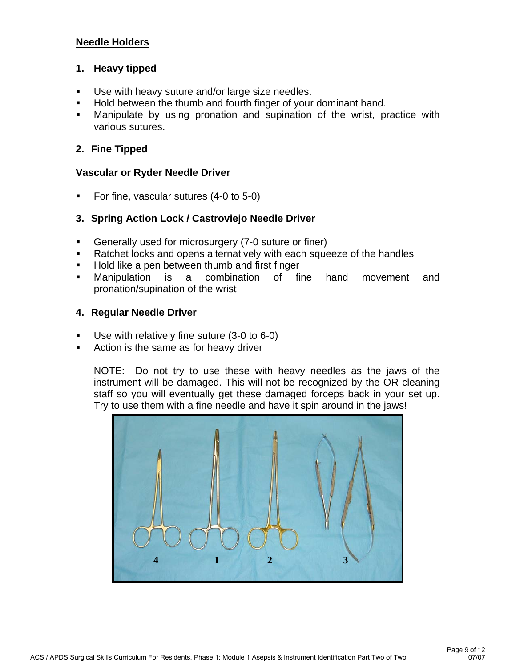## **Needle Holders**

#### **1. Heavy tipped**

- Use with heavy suture and/or large size needles.
- Hold between the thumb and fourth finger of your dominant hand.
- Manipulate by using pronation and supination of the wrist, practice with various sutures.

#### **2. Fine Tipped**

#### **Vascular or Ryder Needle Driver**

For fine, vascular sutures (4-0 to 5-0)

#### **3. Spring Action Lock / Castroviejo Needle Driver**

- Generally used for microsurgery (7-0 suture or finer)
- Ratchet locks and opens alternatively with each squeeze of the handles
- Hold like a pen between thumb and first finger
- Manipulation is a combination of fine hand movement and pronation/supination of the wrist

#### **4. Regular Needle Driver**

- Use with relatively fine suture (3-0 to 6-0)
- Action is the same as for heavy driver

NOTE: Do not try to use these with heavy needles as the jaws of the instrument will be damaged. This will not be recognized by the OR cleaning staff so you will eventually get these damaged forceps back in your set up. Try to use them with a fine needle and have it spin around in the jaws!

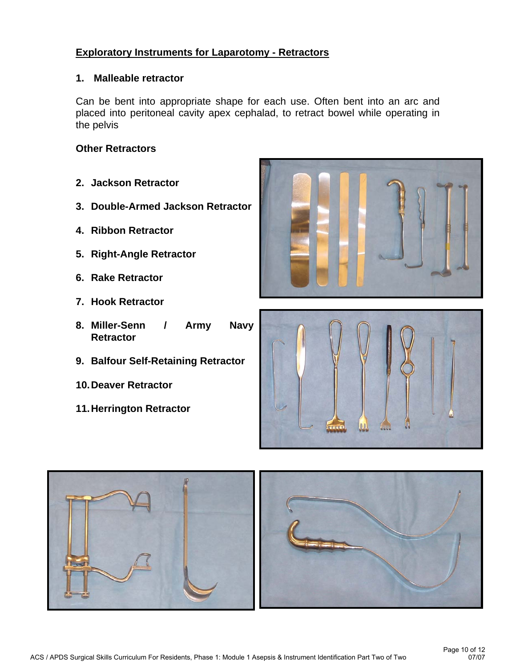## **Exploratory Instruments for Laparotomy - Retractors**

#### **1. Malleable retractor**

Can be bent into appropriate shape for each use. Often bent into an arc and placed into peritoneal cavity apex cephalad, to retract bowel while operating in the pelvis

#### **Other Retractors**

- **2. Jackson Retractor**
- **3. Double-Armed Jackson Retractor**
- **4. Ribbon Retractor**
- **5. Right-Angle Retractor**
- **6. Rake Retractor**
- **7. Hook Retractor**
- **8. Miller-Senn / Army Navy Retractor**
- **9. Balfour Self-Retaining Retractor**
- **10. Deaver Retractor**
- **11. Herrington Retractor**





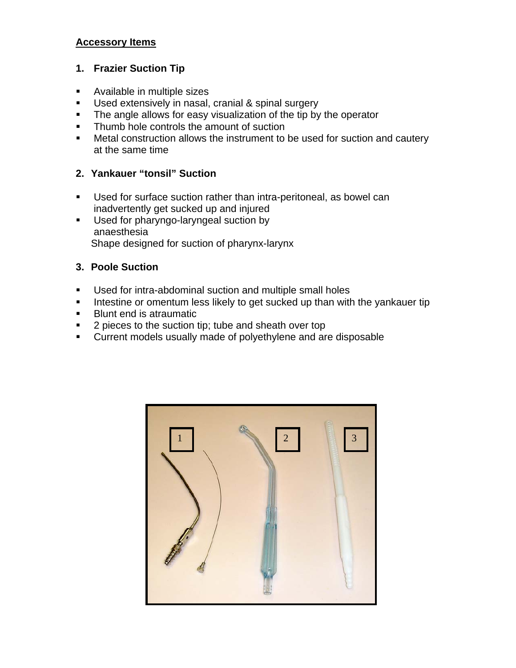## **Accessory Items**

## **1. Frazier Suction Tip**

- Available in multiple sizes
- **Used extensively in nasal, cranial & spinal surgery**
- The angle allows for easy visualization of the tip by the operator
- Thumb hole controls the amount of suction
- **Metal construction allows the instrument to be used for suction and cautery** at the same time

## **2. Yankauer "tonsil" Suction**

- Used for surface suction rather than intra-peritoneal, as bowel can inadvertently get sucked up and injured
- Used for pharyngo-laryngeal suction by anaesthesia Shape designed for suction of pharynx-larynx

## **3. Poole Suction**

- Used for intra-abdominal suction and multiple small holes
- Intestine or omentum less likely to get sucked up than with the yankauer tip
- Blunt end is atraumatic
- 2 pieces to the suction tip; tube and sheath over top
- Current models usually made of polyethylene and are disposable